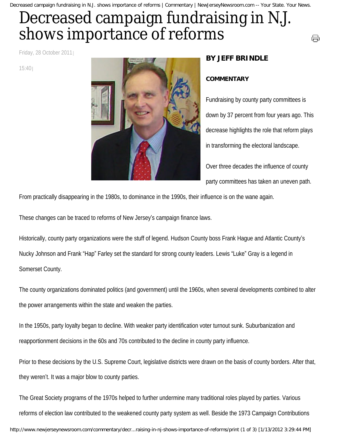Decreased campaign fundraising in N.J. shows importance of reforms | Commentary | NewJerseyNewsroom.com -- Your State. Your News.

## Decreased campaign fundraising in N.J. shows importance of reforms

Friday, 28 October 2011

15:40



## **BY JEFF BRINDLE**

## **COMMENTARY**

Fundraising by county party committees is down by 37 percent from four years ago. This decrease highlights the role that reform plays in transforming the electoral landscape.

⊖

Over three decades the influence of county party committees has taken an uneven path.

From practically disappearing in the 1980s, to dominance in the 1990s, their influence is on the wane again.

These changes can be traced to reforms of New Jersey's campaign finance laws.

Historically, county party organizations were the stuff of legend. Hudson County boss Frank Hague and Atlantic County's Nucky Johnson and Frank "Hap" Farley set the standard for strong county leaders. Lewis "Luke" Gray is a legend in Somerset County.

The county organizations dominated politics (and government) until the 1960s, when several developments combined to alter the power arrangements within the state and weaken the parties.

In the 1950s, party loyalty began to decline. With weaker party identification voter turnout sunk. Suburbanization and reapportionment decisions in the 60s and 70s contributed to the decline in county party influence.

Prior to these decisions by the U.S. Supreme Court, legislative districts were drawn on the basis of county borders. After that, they weren't. It was a major blow to county parties.

The Great Society programs of the 1970s helped to further undermine many traditional roles played by parties. Various reforms of election law contributed to the weakened county party system as well. Beside the 1973 Campaign Contributions http://www.newjerseynewsroom.com/commentary/decr...raising-in-nj-shows-importance-of-reforms/print (1 of 3) [1/13/2012 3:29:44 PM]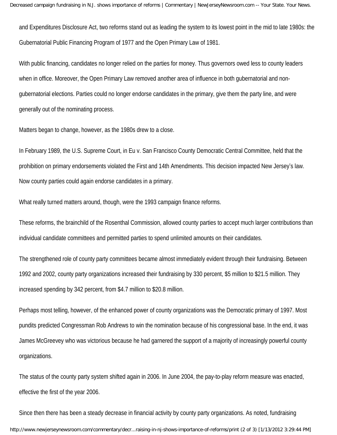and Expenditures Disclosure Act, two reforms stand out as leading the system to its lowest point in the mid to late 1980s: the Gubernatorial Public Financing Program of 1977 and the Open Primary Law of 1981.

With public financing, candidates no longer relied on the parties for money. Thus governors owed less to county leaders when in office. Moreover, the Open Primary Law removed another area of influence in both gubernatorial and nongubernatorial elections. Parties could no longer endorse candidates in the primary, give them the party line, and were generally out of the nominating process.

Matters began to change, however, as the 1980s drew to a close.

In February 1989, the U.S. Supreme Court, in Eu v. San Francisco County Democratic Central Committee, held that the prohibition on primary endorsements violated the First and 14th Amendments. This decision impacted New Jersey's law. Now county parties could again endorse candidates in a primary.

What really turned matters around, though, were the 1993 campaign finance reforms.

These reforms, the brainchild of the Rosenthal Commission, allowed county parties to accept much larger contributions than individual candidate committees and permitted parties to spend unlimited amounts on their candidates.

The strengthened role of county party committees became almost immediately evident through their fundraising. Between 1992 and 2002, county party organizations increased their fundraising by 330 percent, \$5 million to \$21.5 million. They increased spending by 342 percent, from \$4.7 million to \$20.8 million.

Perhaps most telling, however, of the enhanced power of county organizations was the Democratic primary of 1997. Most pundits predicted Congressman Rob Andrews to win the nomination because of his congressional base. In the end, it was James McGreevey who was victorious because he had garnered the support of a majority of increasingly powerful county organizations.

The status of the county party system shifted again in 2006. In June 2004, the pay-to-play reform measure was enacted, effective the first of the year 2006.

Since then there has been a steady decrease in financial activity by county party organizations. As noted, fundraising http://www.newjerseynewsroom.com/commentary/decr...raising-in-nj-shows-importance-of-reforms/print (2 of 3) [1/13/2012 3:29:44 PM]